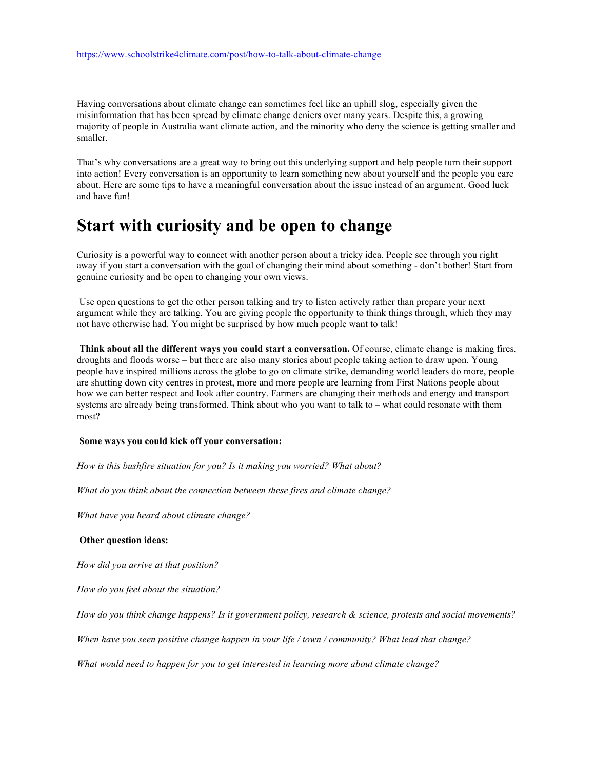Having conversations about climate change can sometimes feel like an uphill slog, especially given the misinformation that has been spread by climate change deniers over many years. Despite this, a growing majority of people in Australia want climate action, and the minority who deny the science is getting smaller and smaller.

That's why conversations are a great way to bring out this underlying support and help people turn their support into action! Every conversation is an opportunity to learn something new about yourself and the people you care about. Here are some tips to have a meaningful conversation about the issue instead of an argument. Good luck and have fun!

#### **Start with curiosity and be open to change**

Curiosity is a powerful way to connect with another person about a tricky idea. People see through you right away if you start a conversation with the goal of changing their mind about something - don't bother! Start from genuine curiosity and be open to changing your own views.

Use open questions to get the other person talking and try to listen actively rather than prepare your next argument while they are talking. You are giving people the opportunity to think things through, which they may not have otherwise had. You might be surprised by how much people want to talk!

**Think about all the different ways you could start a conversation.** Of course, climate change is making fires, droughts and floods worse – but there are also many stories about people taking action to draw upon. Young people have inspired millions across the globe to go on climate strike, demanding world leaders do more, people are shutting down city centres in protest, more and more people are learning from First Nations people about how we can better respect and look after country. Farmers are changing their methods and energy and transport systems are already being transformed. Think about who you want to talk to – what could resonate with them most?

#### **Some ways you could kick off your conversation:**

*How is this bushfire situation for you? Is it making you worried? What about?*

*What do you think about the connection between these fires and climate change?*

*What have you heard about climate change?* 

#### **Other question ideas:**

*How did you arrive at that position?*

*How do you feel about the situation?*

*How do you think change happens? Is it government policy, research & science, protests and social movements?* 

*When have you seen positive change happen in your life / town / community? What lead that change?*

*What would need to happen for you to get interested in learning more about climate change?*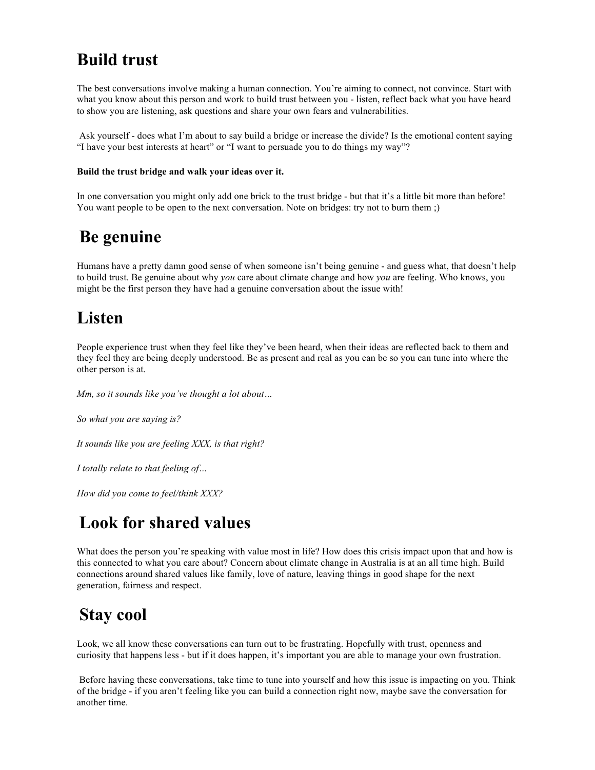# **Build trust**

The best conversations involve making a human connection. You're aiming to connect, not convince. Start with what you know about this person and work to build trust between you - listen, reflect back what you have heard to show you are listening, ask questions and share your own fears and vulnerabilities.

Ask yourself - does what I'm about to say build a bridge or increase the divide? Is the emotional content saying "I have your best interests at heart" or "I want to persuade you to do things my way"?

#### **Build the trust bridge and walk your ideas over it.**

In one conversation you might only add one brick to the trust bridge - but that it's a little bit more than before! You want people to be open to the next conversation. Note on bridges: try not to burn them ;)

## **Be genuine**

Humans have a pretty damn good sense of when someone isn't being genuine - and guess what, that doesn't help to build trust. Be genuine about why *you* care about climate change and how *you* are feeling. Who knows, you might be the first person they have had a genuine conversation about the issue with!

# **Listen**

People experience trust when they feel like they've been heard, when their ideas are reflected back to them and they feel they are being deeply understood. Be as present and real as you can be so you can tune into where the other person is at.

*Mm, so it sounds like you've thought a lot about…*

*So what you are saying is?*

*It sounds like you are feeling XXX, is that right?*

*I totally relate to that feeling of…*

*How did you come to feel/think XXX?*

## **Look for shared values**

What does the person you're speaking with value most in life? How does this crisis impact upon that and how is this connected to what you care about? Concern about climate change in Australia is at an all time high. Build connections around shared values like family, love of nature, leaving things in good shape for the next generation, fairness and respect.

### **Stay cool**

Look, we all know these conversations can turn out to be frustrating. Hopefully with trust, openness and curiosity that happens less - but if it does happen, it's important you are able to manage your own frustration.

Before having these conversations, take time to tune into yourself and how this issue is impacting on you. Think of the bridge - if you aren't feeling like you can build a connection right now, maybe save the conversation for another time.